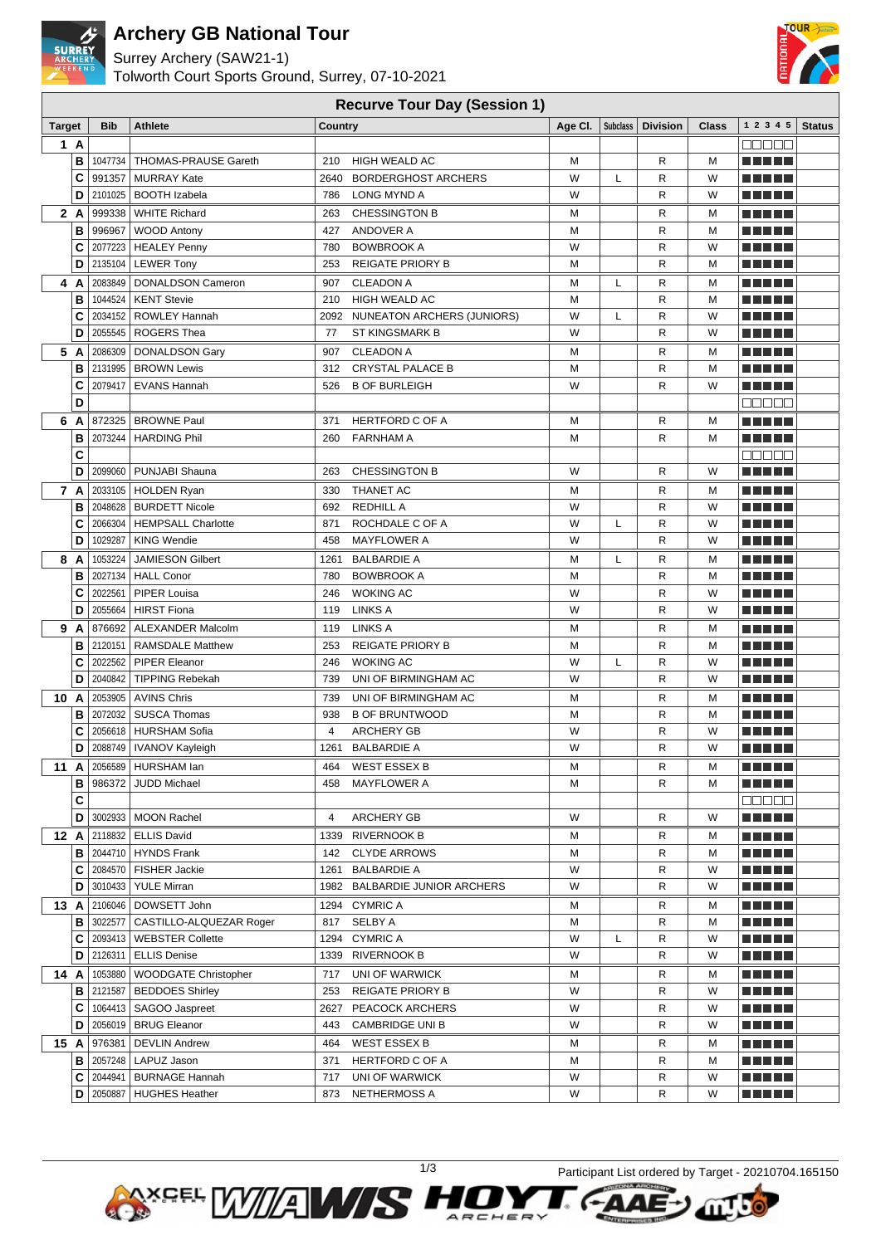

## **Archery GB National Tour**

Surrey Archery (SAW21-1) Tolworth Court Sports Ground, Surrey, 07-10-2021



### **Recurve Tour Day (Session 1)**

| <b>Target</b> |        | <b>Bib</b>         | <b>Athlete</b>                    | <b>Country</b>                                      | Age Cl. | Subclass | <b>Division</b> | Class  | 1 2 3 4 5                  | <b>Status</b> |
|---------------|--------|--------------------|-----------------------------------|-----------------------------------------------------|---------|----------|-----------------|--------|----------------------------|---------------|
|               | 1 A    |                    |                                   |                                                     |         |          |                 |        | Maaa a                     |               |
|               | в      | 1047734            | <b>THOMAS-PRAUSE Gareth</b>       | 210<br><b>HIGH WEALD AC</b>                         | м       |          | R               | М      | MA MARIN                   |               |
|               | C      | 991357             | <b>MURRAY Kate</b>                | 2640 BORDERGHOST ARCHERS                            | W       | L        | R               | W      | a katika Indonesia<br>a Ha |               |
|               | D      | 2101025            | <b>BOOTH Izabela</b>              | 786<br><b>LONG MYND A</b>                           | W       |          | R               | W      | -----                      |               |
|               | 2 A    | 999338             | <b>WHITE Richard</b>              | 263<br><b>CHESSINGTON B</b>                         | М       |          | R               | M      | N NI JE                    |               |
|               | B      | 996967             | <b>WOOD Antony</b>                | ANDOVER A<br>427                                    | м       |          | R               | M      | <b>TERRITORIA</b><br>a ka  |               |
|               | C      | 2077223            | <b>HEALEY Penny</b>               | <b>BOWBROOK A</b><br>780                            | W       |          | R               | W      |                            |               |
|               | D      |                    | 2135104   LEWER Tony              | 253<br><b>REIGATE PRIORY B</b>                      | M       |          | R               | M      | ma mji 1                   |               |
|               | 4 A    | 2083849            | DONALDSON Cameron                 | <b>CLEADON A</b><br>907                             | М       | L        | R               | М      | n n n d L                  |               |
|               | в      | 1044524            | <b>KENT Stevie</b>                | 210<br><b>HIGH WEALD AC</b>                         | M       |          | R               | M      |                            |               |
|               | c      | 2034152            | <b>ROWLEY Hannah</b>              | 2092 NUNEATON ARCHERS (JUNIORS)                     | W       | L        | R               | W      |                            |               |
|               | D      | 2055545            | ROGERS Thea                       | 77<br><b>ST KINGSMARK B</b>                         | W       |          | R               | W      |                            |               |
|               | 5 A    | 2086309            | DONALDSON Gary                    | <b>CLEADON A</b><br>907                             | М       |          | R               | м      | MA MEL                     |               |
|               | в      |                    | 2131995   BROWN Lewis             | <b>CRYSTAL PALACE B</b><br>312                      | M       |          | R               | M      |                            |               |
|               | c      | 2079417            | <b>EVANS Hannah</b>               | <b>B OF BURLEIGH</b><br>526                         | W       |          | R               | W      | MA MD L                    |               |
|               | D      |                    |                                   |                                                     |         |          |                 |        | 88888                      |               |
|               | 6 A    |                    | 872325   BROWNE Paul              | <b>HERTFORD C OF A</b><br>371                       | M       |          | R               | М      | ma matsa                   |               |
|               | В      | 2073244            | <b>HARDING Phil</b>               | <b>FARNHAM A</b><br>260                             | М       |          | R               | м      | ma matsa                   |               |
|               | C      |                    |                                   |                                                     |         |          |                 |        | aaaaa                      |               |
|               | D      | 2099060            | PUNJABI Shauna                    | <b>CHESSINGTON B</b><br>263                         | W       |          | R               | W      | n di Tinggi                |               |
|               | 7 A    |                    | 2033105   HOLDEN Ryan             | THANET AC<br>330                                    | М       |          | R               | м      | ma matsa                   |               |
|               | в      | 2048628            | <b>BURDETT Nicole</b>             | <b>REDHILL A</b><br>692                             | W       |          | R               | W      | N NI JE                    |               |
|               | C      | 2066304            | <b>HEMPSALL Charlotte</b>         | 871<br>ROCHDALE C OF A                              | W<br>W  | L        | R               | W      | TI NI DE                   |               |
|               | D      | 1029287            | <b>KING Wendie</b>                | 458<br><b>MAYFLOWER A</b>                           |         |          | R               | W      | <u> 2008 - 200</u>         |               |
|               | 8 A    | 1053224            | <b>JAMIESON Gilbert</b>           | <b>BALBARDIE A</b><br>1261                          | м<br>M  | L        | R               | M      | N NI JE                    |               |
|               | B<br>C | 2027134<br>2022561 | <b>HALL Conor</b><br>PIPER Louisa | 780<br><b>BOWBROOK A</b><br><b>WOKING AC</b><br>246 | W       |          | R<br>R          | М<br>W | <b>TERRITORIA</b><br>a ka  |               |
|               | D      | 2055664            | <b>HIRST Fiona</b>                | <b>LINKS A</b><br>119                               | W       |          | R               | W      | .<br>ma a st               |               |
| 9             | A      | 876692             | <b>ALEXANDER Malcolm</b>          | <b>LINKS A</b><br>119                               | М       |          | R               | М      | n din si s                 |               |
|               | в      | 2120151            | <b>RAMSDALE Matthew</b>           | 253<br><b>REIGATE PRIORY B</b>                      | M       |          | R               | M      | a ka                       |               |
|               | C      | 2022562            | <b>PIPER Eleanor</b>              | 246<br><b>WOKING AC</b>                             | W       | L        | R               | W      | n Ange                     |               |
|               | D      | 2040842            | <b>TIPPING Rebekah</b>            | UNI OF BIRMINGHAM AC<br>739                         | W       |          | R               | W      |                            |               |
| 10 A          |        |                    | 2053905 AVINS Chris               | 739<br>UNI OF BIRMINGHAM AC                         | М       |          | R               | м      | ma matsa                   |               |
|               | в      | 2072032            | <b>SUSCA Thomas</b>               | 938<br><b>B OF BRUNTWOOD</b>                        | M       |          | R               | M      | ma matsa                   |               |
|               | C      | 2056618            | <b>HURSHAM Sofia</b>              | 4<br><b>ARCHERY GB</b>                              | W       |          | R               | W      |                            |               |
|               | D      | 2088749            | <b>IVANOV Kayleigh</b>            | 1261<br><b>BALBARDIE A</b>                          | W       |          | R               | W      | N E HE H                   |               |
|               | 11 A   |                    | 2056589 HURSHAM lan               | <b>WEST ESSEX B</b><br>464                          | М       |          | R               | М      | n di Titolo                |               |
|               | в      |                    | 986372 JUDD Michael               | <b>MAYFLOWER A</b><br>458                           | м       |          | R               | м      | <u> Literatura de la p</u> |               |
|               | C      |                    |                                   |                                                     |         |          |                 |        | Maaan                      |               |
|               | D      |                    | 3002933   MOON Rachel             | ARCHERY GB<br>4                                     | W       |          | R               | W      | MA MARIT                   |               |
|               | 12 A   |                    | 2118832   ELLIS David             | 1339 RIVERNOOK B                                    | м       |          | R               | М      |                            |               |
|               | в      |                    | 2044710   HYNDS Frank             | <b>CLYDE ARROWS</b><br>142                          | М       |          | R               | м      |                            |               |
|               | C      |                    | 2084570   FISHER Jackie           | 1261 BALBARDIE A                                    | W       |          | R               | W      |                            |               |
|               | D      |                    | 3010433   YULE Mirran             | 1982 BALBARDIE JUNIOR ARCHERS                       | W       |          | R               | W      | ▅▆▆▇▆                      |               |
| 13 A          |        |                    | 2106046   DOWSETT John            | 1294 CYMRIC A                                       | м       |          | R               | м      | <u> 2000 - 200</u>         |               |
|               | в      | 3022577            | CASTILLO-ALQUEZAR Roger           | <b>SELBY A</b><br>817                               | м       |          | R               | м      | N E HELL                   |               |
|               | C      |                    | 2093413   WEBSTER Collette        | 1294 CYMRIC A                                       | W       | L        | R               | W      | N E É E E                  |               |
|               | D      |                    | 2126311   ELLIS Denise            | 1339 RIVERNOOK B                                    | W       |          | R               | W      | <u> Literatur</u>          |               |
| 14 A          |        |                    | 1053880   WOODGATE Christopher    | UNI OF WARWICK<br>717                               | м       |          | R               | м      | <u> Literatur</u>          |               |
|               | в      |                    | 2121587   BEDDOES Shirley         | 253<br><b>REIGATE PRIORY B</b>                      | W       |          | R               | W      | n in Scot                  |               |
|               | С      |                    | 1064413   SAGOO Jaspreet          | 2627 PEACOCK ARCHERS                                | W       |          | R               | W      | <u> El El El E</u>         |               |
|               | D      |                    | 2056019   BRUG Eleanor            | 443<br>CAMBRIDGE UNI B                              | W       |          | R               | W      | <u> Literatur</u>          |               |
|               | 15 A   | 976381             | DEVLIN Andrew                     | <b>WEST ESSEX B</b><br>464                          | м       |          | R               | м      |                            |               |
|               | в      |                    | 2057248   LAPUZ Jason             | HERTFORD C OF A<br>371                              | М       |          | R               | М      |                            |               |
|               | C      | 2044941            | <b>BURNAGE Hannah</b>             | UNI OF WARWICK<br>717                               | W<br>W  |          | R               | W      | <u> Literatur</u>          |               |
|               | D      |                    | 2050887   HUGHES Heather          | 873 NETHERMOSS A                                    |         |          | R               | W      | <u> El El El </u>          |               |



a

ARCHER

1/3 Participant List ordered by Target - 20210704.165150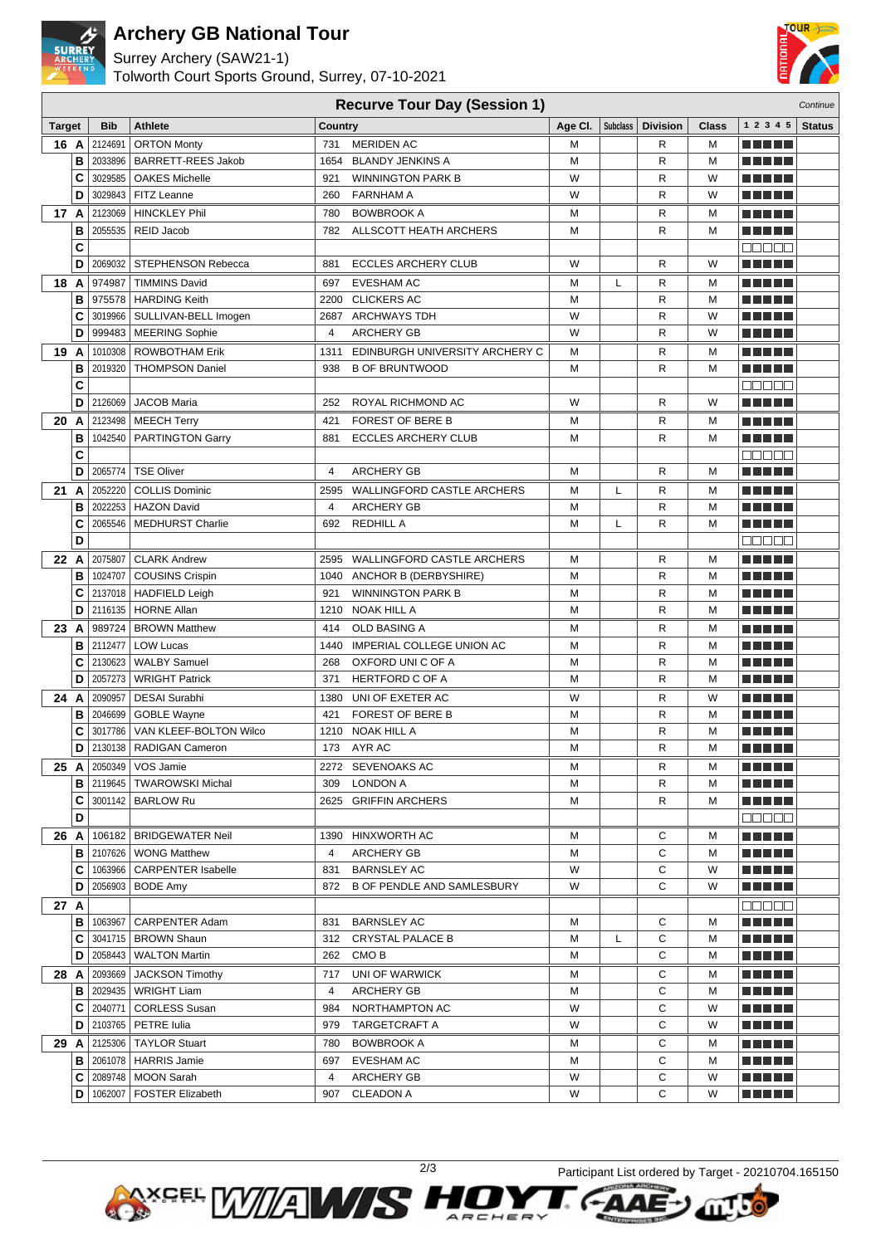

## **Archery GB National Tour**

Surrey Archery (SAW21-1)

Tolworth Court Sports Ground, Surrey, 07-10-2021



#### **Recurve Tour Day (Session 1)** Continue Continue

| Target |        | <b>Bib</b>         | <b>Athlete</b>                               | <b>Country</b> | $\sim$ $\sim$                             | Age CI. | Subclass | <b>Division</b>   | Class  | 1 2 3 4 5                                            | <b>Status</b> |
|--------|--------|--------------------|----------------------------------------------|----------------|-------------------------------------------|---------|----------|-------------------|--------|------------------------------------------------------|---------------|
| 16 A   |        | 2124691            | <b>ORTON Monty</b>                           | 731            | <b>MERIDEN AC</b>                         | М       |          | R                 | М      |                                                      |               |
|        | в      | 2033896            | <b>BARRETT-REES Jakob</b>                    | 1654           | <b>BLANDY JENKINS A</b>                   | М       |          | $\mathsf{R}$      | M      | <u>Film and the se</u>                               |               |
|        | C      | 3029585            | <b>OAKES Michelle</b>                        | 921            | <b>WINNINGTON PARK B</b>                  | W       |          | R                 | W      | m a mata                                             |               |
|        | D      | 3029843            | FITZ Leanne                                  | 260            | <b>FARNHAM A</b>                          | W       |          | R                 | W      |                                                      |               |
| 17 A   |        | 2123069            | <b>HINCKLEY Phil</b>                         | 780            | <b>BOWBROOK A</b>                         | М       |          | R                 | М      | m a mata                                             |               |
|        | в      | 2055535            | REID Jacob                                   | 782            | ALLSCOTT HEATH ARCHERS                    | M       |          | R                 | М      | <u>Film and the se</u>                               |               |
|        | C      |                    |                                              |                |                                           |         |          |                   |        | ana ao                                               |               |
|        | D      | 2069032            | STEPHENSON Rebecca                           | 881            | <b>ECCLES ARCHERY CLUB</b>                | W       |          | R                 | W      |                                                      |               |
|        | 18 A   | 974987             | <b>TIMMINS David</b>                         | 697            | <b>EVESHAM AC</b>                         | м       | Г        | R                 | м      |                                                      |               |
|        | в      | 975578             | <b>HARDING Keith</b>                         |                | 2200 CLICKERS AC                          | M       |          | R                 | М      | <u> Literatur in s</u>                               |               |
|        | c      | 3019966            | SULLIVAN-BELL Imogen                         |                | 2687 ARCHWAYS TDH                         | W       |          | $\mathsf{R}$      | W      | M A H H H                                            |               |
|        | D      | 999483             | MEERING Sophie                               | 4              | <b>ARCHERY GB</b>                         | W       |          | $\mathsf{R}$      | W      |                                                      |               |
| 19 A   |        | 1010308            | <b>ROWBOTHAM Erik</b>                        |                | 1311 EDINBURGH UNIVERSITY ARCHERY C       | М       |          | R                 | М      | <u> Literatur in s</u>                               |               |
|        | в      | 2019320            | <b>THOMPSON Daniel</b>                       | 938            | <b>B OF BRUNTWOOD</b>                     | М       |          | $\mathsf{R}$      | M      | ma matsa                                             |               |
|        | C      |                    |                                              |                |                                           |         |          |                   |        | Maaaa                                                |               |
|        | D      |                    | 2126069 JACOB Maria                          | 252            | ROYAL RICHMOND AC                         | W       |          | R                 | W      | <u> Liberal Maria II</u>                             |               |
|        | 20 A   |                    | 2123498   MEECH Terry                        | 421            | FOREST OF BERE B                          | М       |          | R                 | М      | .                                                    |               |
|        | в      |                    | 1042540   PARTINGTON Garry                   | 881            | <b>ECCLES ARCHERY CLUB</b>                | M       |          | R                 | М      |                                                      |               |
|        | C      |                    |                                              |                |                                           |         |          |                   |        | e de e e                                             |               |
|        | D      | 2065774            | <b>TSE Oliver</b>                            | 4              | <b>ARCHERY GB</b>                         | M       |          | R                 | М      | <u>Film and the se</u>                               |               |
| 21 A   |        | 2052220            | <b>COLLIS Dominic</b>                        | 2595           | <b>WALLINGFORD CASTLE ARCHERS</b>         | М       | L        | R                 | М      | MA METAL                                             |               |
|        | в      | 2022253            | <b>HAZON David</b>                           | 4              | <b>ARCHERY GB</b>                         | М       |          | R                 | M      | n na mats                                            |               |
|        | C      | 2065546            | <b>MEDHURST Charlie</b>                      | 692            | <b>REDHILL A</b>                          | М       | L        | $\mathsf{R}$      | М      | Martin Mar                                           |               |
|        | D      |                    |                                              |                |                                           |         |          |                   |        | $\Box\Box\Box\Box$                                   |               |
|        | 22 A   | 2075807            | <b>CLARK Andrew</b>                          |                | 2595 WALLINGFORD CASTLE ARCHERS           | М       |          | R                 | М      | M M M M M                                            |               |
|        | в      | 1024707            | <b>COUSINS Crispin</b>                       |                | 1040 ANCHOR B (DERBYSHIRE)                | М       |          | R                 | М      |                                                      |               |
|        | c      |                    | 2137018   HADFIELD Leigh                     | 921            | <b>WINNINGTON PARK B</b>                  | М       |          | R                 | м      |                                                      |               |
|        | D      | 2116135            | <b>HORNE Allan</b>                           |                | 1210 NOAK HILL A                          | М       |          | R                 | М      | <u> Liberal Maria II</u>                             |               |
| 23     | A      |                    | 989724   BROWN Matthew                       | 414            | OLD BASING A                              | М       |          | R                 | м      |                                                      |               |
|        | в      | 2112477            | <b>LOW Lucas</b>                             | 1440           | IMPERIAL COLLEGE UNION AC                 | М       |          | R                 | М      | ma matsa                                             |               |
|        | C<br>D | 2130623<br>2057273 | <b>WALBY Samuel</b><br><b>WRIGHT Patrick</b> | 268<br>371     | OXFORD UNI C OF A                         | M<br>М  |          | R<br>$\mathsf{R}$ | M<br>М | <u> Liberal Maria II</u><br><u> Liberal Maria II</u> |               |
|        |        |                    |                                              |                | <b>HERTFORD C OF A</b>                    |         |          |                   |        |                                                      |               |
| 24     | A<br>в | 2090957<br>2046699 | <b>DESAI Surabhi</b><br><b>GOBLE Wayne</b>   | 421            | 1380 UNI OF EXETER AC<br>FOREST OF BERE B | W<br>М  |          | R<br>$\mathsf{R}$ | W<br>М | <u> Literatur in s</u><br>TI NI DE                   |               |
|        | c      | 3017786            | VAN KLEEF-BOLTON Wilco                       |                | 1210 NOAK HILL A                          | М       |          | R                 | М      | a matu Ju                                            |               |
|        | D      | 2130138            | RADIGAN Cameron                              |                | 173 AYR AC                                | М       |          | R                 | М      | <u> Libertal de la p</u>                             |               |
|        | 25 A   |                    | 2050349   VOS Jamie                          |                | 2272 SEVENOAKS AC                         | М       |          | R                 | М      | Martin Mar                                           |               |
|        | в      |                    | 2119645   TWAROWSKI Michal                   | 309            | LONDON A                                  | м       |          | R                 | м      | <u> Literatur</u>                                    |               |
|        | C      |                    | 3001142   BARLOW Ru                          |                | 2625 GRIFFIN ARCHERS                      | М       |          | R                 | М      |                                                      |               |
|        | D      |                    |                                              |                |                                           |         |          |                   |        | anana                                                |               |
|        |        |                    | 26 A   106182   BRIDGEWATER Neil             |                | 1390 HINXWORTH AC                         | м       |          | С                 | М      | m a mata                                             |               |
|        | в      |                    | 2107626   WONG Matthew                       | 4              | ARCHERY GB                                | М       |          | С                 | М      | Martin Mar                                           |               |
|        | С      |                    | 1063966   CARPENTER Isabelle                 | 831            | <b>BARNSLEY AC</b>                        | W       |          | С                 | W      | <u> E E E E E</u>                                    |               |
|        | D      |                    | 2056903   BODE Amy                           |                | 872 B OF PENDLE AND SAMLESBURY            | W       |          | C                 | W      | <u> Literatur</u>                                    |               |
| 27 A   |        |                    |                                              |                |                                           |         |          |                   |        | <b>BOOOC</b>                                         |               |
|        | В      |                    | 1063967   CARPENTER Adam                     | 831            | <b>BARNSLEY AC</b>                        | М       |          | С                 | м      | <u> Literatur</u>                                    |               |
|        | С      |                    | 3041715   BROWN Shaun                        | 312            | <b>CRYSTAL PALACE B</b>                   | м       | L        | С                 | м      | <u> Literatur</u>                                    |               |
|        | D      |                    | 2058443   WALTON Martin                      | 262            | CMO B                                     | М       |          | С                 | М      | <u> Literatur</u>                                    |               |
|        | 28 A   |                    | 2093669 JACKSON Timothy                      | 717            | UNI OF WARWICK                            | м       |          | С                 | м      | <u> Literatur</u>                                    |               |
|        | в      |                    | 2029435   WRIGHT Liam                        | $\overline{4}$ | <b>ARCHERY GB</b>                         | м       |          | С                 | м      | <u> Literatur</u>                                    |               |
|        | С      | 2040771            | <b>CORLESS Susan</b>                         | 984            | NORTHAMPTON AC                            | W       |          | С                 | W      | <u> Literatur</u>                                    |               |
|        | D      |                    | 2103765   PETRE Iulia                        | 979            | TARGETCRAFT A                             | W       |          | C                 | W      | <u> Here i </u>                                      |               |
|        | 29 A   |                    | 2125306   TAYLOR Stuart                      | 780            | <b>BOWBROOK A</b>                         | м       |          | С                 | М      | <u> Literatur</u>                                    |               |
|        | В      |                    | 2061078   HARRIS Jamie                       | 697            | EVESHAM AC                                | М<br>W  |          | C<br>С            | М      | <u>Li se la la</u>                                   |               |
|        | С<br>D | 1062007            | 2089748   MOON Sarah<br>FOSTER Elizabeth     | 4<br>907       | ARCHERY GB<br><b>CLEADON A</b>            | W       |          | С                 | W<br>W | <u> Here i s</u>                                     |               |
|        |        |                    |                                              |                |                                           |         |          |                   |        | <u> Literatur</u>                                    |               |



ARCHER

2/3 Participant List ordered by Target - 20210704.165150

 $-**A**$ 

**NTERPRISES**